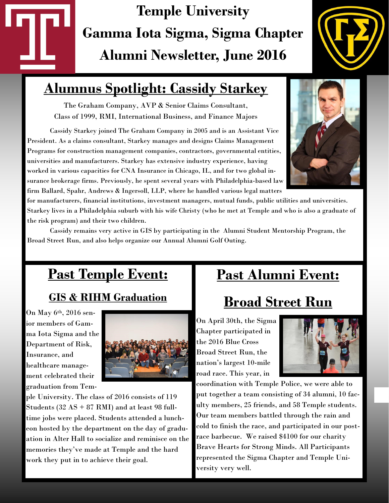# **Temple University Gamma Iota Sigma, Sigma Chapter Alumni Newsletter, June 2016**



## **Alumnus Spotlight: Cassidy Starkey**

The Graham Company, AVP & Senior Claims Consultant, Class of 1999, RMI, International Business, and Finance Majors

Cassidy Starkey joined The Graham Company in 2005 and is an Assistant Vice President. As a claims consultant, Starkey manages and designs Claims Management Programs for construction management companies, contractors, governmental entities, universities and manufacturers. Starkey has extensive industry experience, having worked in various capacities for CNA Insurance in Chicago, IL, and for two global insurance brokerage firms. Previously, he spent several years with Philadelphia-based law firm Ballard, Spahr, Andrews & Ingersoll, LLP, where he handled various legal matters



for manufacturers, financial institutions, investment managers, mutual funds, public utilities and universities. Starkey lives in a Philadelphia suburb with his wife Christy (who he met at Temple and who is also a graduate of the risk program) and their two children.

Cassidy remains very active in GIS by participating in the Alumni Student Mentorship Program, the Broad Street Run, and also helps organize our Annual Alumni Golf Outing.

## **Past Temple Event:** *<sup>=</sup>*

### **GIS & RIHM Graduation**

On May 6th, 2016 senior members of Gamma Iota Sigma and the Department of Risk, Insurance, and healthcare management celebrated their graduation from Tem-



ple University. The class of 2016 consists of 119 Students (32 AS + 87 RMI) and at least 98 fulltime jobs were placed. Students attended a luncheon hosted by the department on the day of graduation in Alter Hall to socialize and reminisce on the memories they've made at Temple and the hard work they put in to achieve their goal.

### **Past Alumni Event:**

## **Broad Street Run**

On April 30th, the Sigma Chapter participated in the 2016 Blue Cross Broad Street Run, the nation's largest 10-mile road race. This year, in



coordination with Temple Police, we were able to put together a team consisting of 34 alumni, 10 faculty members, 25 friends, and 58 Temple students. Our team members battled through the rain and cold to finish the race, and participated in our postrace barbecue. We raised \$4100 for our charity Brave Hearts for Strong Minds. All Participants represented the Sigma Chapter and Temple University very well.